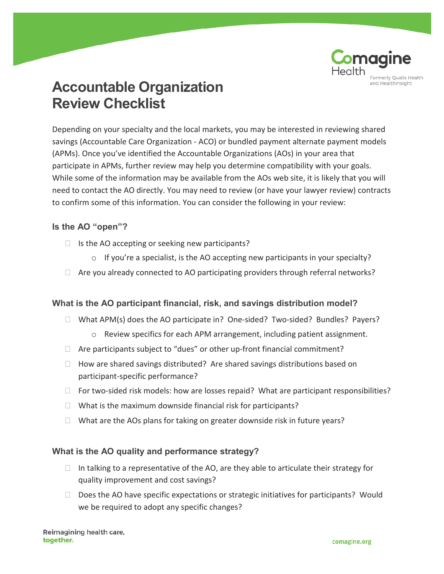

# **Accountable Organization Review Checklist**

Depending on your specialty and the local markets, you may be interested in reviewing shared savings (Accountable Care Organization - ACO) or bundled payment alternate payment models (APMs). Once you've identified the Accountable Organizations (AOs) in your area that participate in APMs, further review may help you determine compatibility with your goals. While some of the information may be available from the AOs web site, it is likely that you will need to contact the AO directly. You may need to review (or have your lawyer review) contracts to confirm some of this information. You can consider the following in your review:

### **Is the AO "open"?**

- $\Box$  Is the AO accepting or seeking new participants?
	- $\circ$  If you're a specialist, is the AO accepting new participants in your specialty?
- $\Box$  Are you already connected to AO participating providers through referral networks?

## **What is the AO participant financial, risk, and savings distribution model?**

- $\Box$  What APM(s) does the AO participate in? One-sided? Two-sided? Bundles? Payers?
	- o Review specifics for each APM arrangement, including patient assignment.
- $\Box$  Are participants subject to "dues" or other up-front financial commitment?
- $\Box$  How are shared savings distributed? Are shared savings distributions based on participant-specific performance?
- $\Box$  For two-sided risk models: how are losses repaid? What are participant responsibilities?
- $\Box$  What is the maximum downside financial risk for participants?
- $\Box$  What are the AOs plans for taking on greater downside risk in future years?

#### **What is the AO quality and performance strategy?**

- $\Box$  In talking to a representative of the AO, are they able to articulate their strategy for quality improvement and cost savings?
- $\Box$  Does the AO have specific expectations or strategic initiatives for participants? Would we be required to adopt any specific changes?